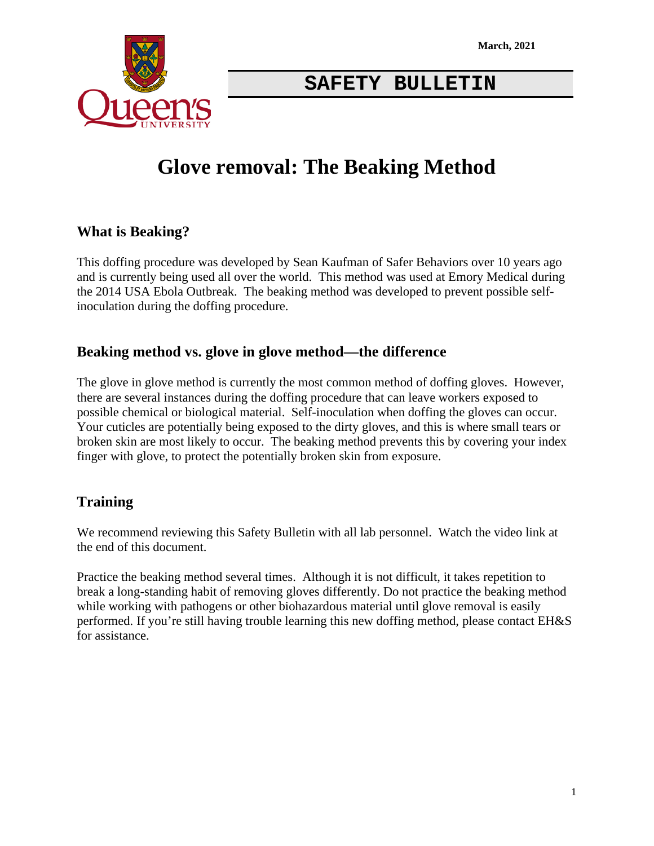

### **SAFETY BULLETIN**

# **Glove removal: The Beaking Method**

### **What is Beaking?**

This doffing procedure was developed by Sean Kaufman of Safer Behaviors over 10 years ago and is currently being used all over the world. This method was used at Emory Medical during the 2014 USA Ebola Outbreak. The beaking method was developed to prevent possible selfinoculation during the doffing procedure.

#### **Beaking method vs. glove in glove method—the difference**

The glove in glove method is currently the most common method of doffing gloves. However, there are several instances during the doffing procedure that can leave workers exposed to possible chemical or biological material. Self-inoculation when doffing the gloves can occur. Your cuticles are potentially being exposed to the dirty gloves, and this is where small tears or broken skin are most likely to occur. The beaking method prevents this by covering your index finger with glove, to protect the potentially broken skin from exposure.

### **Training**

We recommend reviewing this Safety Bulletin with all lab personnel. Watch the video link at the end of this document.

Practice the beaking method several times. Although it is not difficult, it takes repetition to break a long-standing habit of removing gloves differently. Do not practice the beaking method while working with pathogens or other biohazardous material until glove removal is easily performed. If you're still having trouble learning this new doffing method, please contact EH&S for assistance.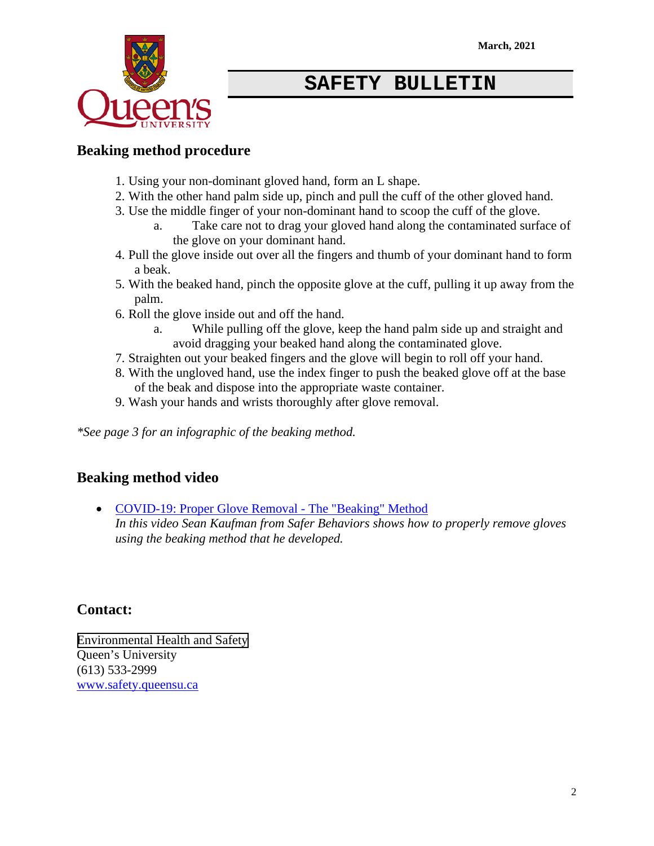

### **SAFETY BULLETIN**

#### **Beaking method procedure**

- 1. Using your non-dominant gloved hand, form an L shape.
- 2. With the other hand palm side up, pinch and pull the cuff of the other gloved hand.
- 3. Use the middle finger of your non-dominant hand to scoop the cuff of the glove.
	- a. Take care not to drag your gloved hand along the contaminated surface of the glove on your dominant hand.
- 4. Pull the glove inside out over all the fingers and thumb of your dominant hand to form a beak.
- 5. With the beaked hand, pinch the opposite glove at the cuff, pulling it up away from the palm.
- 6. Roll the glove inside out and off the hand.
	- a. While pulling off the glove, keep the hand palm side up and straight and avoid dragging your beaked hand along the contaminated glove.
- 7. Straighten out your beaked fingers and the glove will begin to roll off your hand.
- 8. With the ungloved hand, use the index finger to push the beaked glove off at the base of the beak and dispose into the appropriate waste container.
- 9. Wash your hands and wrists thoroughly after glove removal.

*\*See page 3 for an infographic of the beaking method.*

### **Beaking method video**

• [COVID-19: Proper Glove Removal - The "Beaking" Method](https://youtu.be/449402TVTho) *In this video Sean Kaufman from Safer Behaviors shows how to properly remove gloves using the beaking method that he developed.*

### **Contact:**

[Environmental Health and Safety](www.safety.queensu.ca) Queen's University (613) 533-2999 [www.safety.queensu.ca](http://www.safety.queensu.ca/)